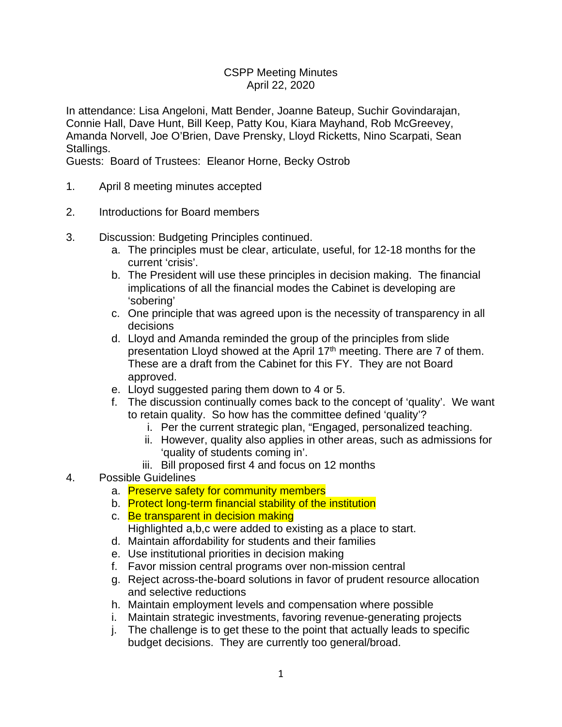## CSPP Meeting Minutes April 22, 2020

In attendance: Lisa Angeloni, Matt Bender, Joanne Bateup, Suchir Govindarajan, Connie Hall, Dave Hunt, Bill Keep, Patty Kou, Kiara Mayhand, Rob McGreevey, Amanda Norvell, Joe O'Brien, Dave Prensky, Lloyd Ricketts, Nino Scarpati, Sean Stallings.

Guests: Board of Trustees: Eleanor Horne, Becky Ostrob

- 1. April 8 meeting minutes accepted
- 2. Introductions for Board members
- 3. Discussion: Budgeting Principles continued.
	- a. The principles must be clear, articulate, useful, for 12-18 months for the current 'crisis'.
	- b. The President will use these principles in decision making. The financial implications of all the financial modes the Cabinet is developing are 'sobering'
	- c. One principle that was agreed upon is the necessity of transparency in all decisions
	- d. Lloyd and Amanda reminded the group of the principles from slide presentation Lloyd showed at the April 17<sup>th</sup> meeting. There are 7 of them. These are a draft from the Cabinet for this FY. They are not Board approved.
	- e. Lloyd suggested paring them down to 4 or 5.
	- f. The discussion continually comes back to the concept of 'quality'. We want to retain quality. So how has the committee defined 'quality'?
		- i. Per the current strategic plan, "Engaged, personalized teaching.
		- ii. However, quality also applies in other areas, such as admissions for 'quality of students coming in'.
		- iii. Bill proposed first 4 and focus on 12 months
- 4. Possible Guidelines
	- a. Preserve safety for community members
	- b. Protect long-term financial stability of the institution
	- c. Be transparent in decision making Highlighted a,b,c were added to existing as a place to start.
	- d. Maintain affordability for students and their families
	- e. Use institutional priorities in decision making
	- f. Favor mission central programs over non-mission central
	- g. Reject across-the-board solutions in favor of prudent resource allocation and selective reductions
	- h. Maintain employment levels and compensation where possible
	- i. Maintain strategic investments, favoring revenue-generating projects
	- j. The challenge is to get these to the point that actually leads to specific budget decisions. They are currently too general/broad.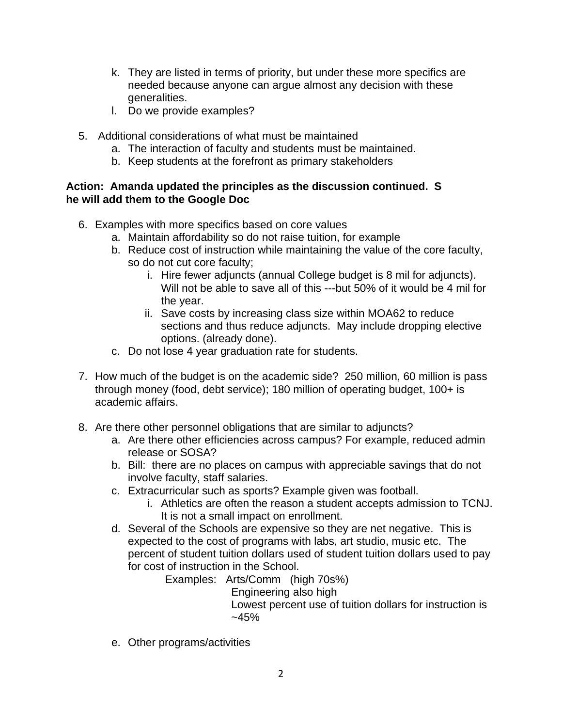- k. They are listed in terms of priority, but under these more specifics are needed because anyone can argue almost any decision with these generalities.
- l. Do we provide examples?
- 5. Additional considerations of what must be maintained
	- a. The interaction of faculty and students must be maintained.
	- b. Keep students at the forefront as primary stakeholders

## **Action: Amanda updated the principles as the discussion continued. S he will add them to the Google Doc**

- 6. Examples with more specifics based on core values
	- a. Maintain affordability so do not raise tuition, for example
	- b. Reduce cost of instruction while maintaining the value of the core faculty, so do not cut core faculty;
		- i. Hire fewer adjuncts (annual College budget is 8 mil for adjuncts). Will not be able to save all of this ---but 50% of it would be 4 mil for the year.
		- ii. Save costs by increasing class size within MOA62 to reduce sections and thus reduce adjuncts. May include dropping elective options. (already done).
	- c. Do not lose 4 year graduation rate for students.
- 7. How much of the budget is on the academic side? 250 million, 60 million is pass through money (food, debt service); 180 million of operating budget, 100+ is academic affairs.
- 8. Are there other personnel obligations that are similar to adjuncts?
	- a. Are there other efficiencies across campus? For example, reduced admin release or SOSA?
	- b. Bill: there are no places on campus with appreciable savings that do not involve faculty, staff salaries.
	- c. Extracurricular such as sports? Example given was football.
		- i. Athletics are often the reason a student accepts admission to TCNJ. It is not a small impact on enrollment.
	- d. Several of the Schools are expensive so they are net negative. This is expected to the cost of programs with labs, art studio, music etc. The percent of student tuition dollars used of student tuition dollars used to pay for cost of instruction in the School.

Examples: Arts/Comm (high 70s%)

Engineering also high

Lowest percent use of tuition dollars for instruction is  $-45%$ 

e. Other programs/activities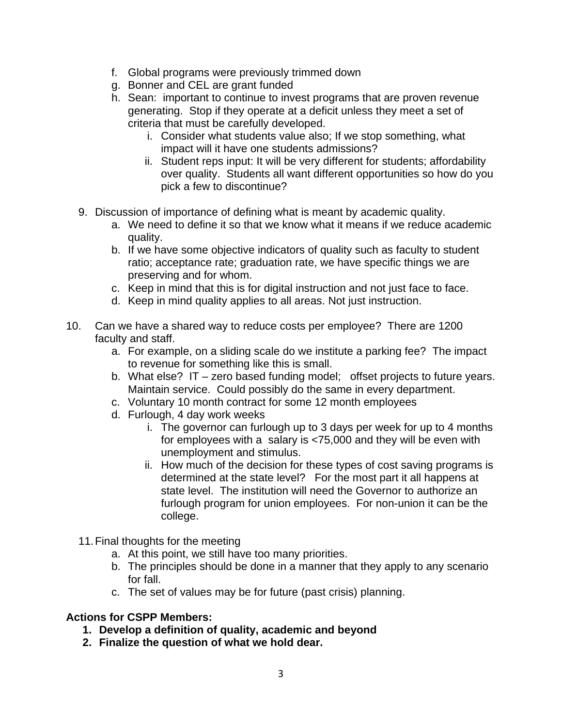- f. Global programs were previously trimmed down
- g. Bonner and CEL are grant funded
- h. Sean: important to continue to invest programs that are proven revenue generating. Stop if they operate at a deficit unless they meet a set of criteria that must be carefully developed.
	- i. Consider what students value also; If we stop something, what impact will it have one students admissions?
	- ii. Student reps input: It will be very different for students; affordability over quality. Students all want different opportunities so how do you pick a few to discontinue?
- 9. Discussion of importance of defining what is meant by academic quality.
	- a. We need to define it so that we know what it means if we reduce academic quality.
	- b. If we have some objective indicators of quality such as faculty to student ratio; acceptance rate; graduation rate, we have specific things we are preserving and for whom.
	- c. Keep in mind that this is for digital instruction and not just face to face.
	- d. Keep in mind quality applies to all areas. Not just instruction.
- 10. Can we have a shared way to reduce costs per employee? There are 1200 faculty and staff.
	- a. For example, on a sliding scale do we institute a parking fee? The impact to revenue for something like this is small.
	- b. What else? IT zero based funding model; offset projects to future years. Maintain service. Could possibly do the same in every department.
	- c. Voluntary 10 month contract for some 12 month employees
	- d. Furlough, 4 day work weeks
		- i. The governor can furlough up to 3 days per week for up to 4 months for employees with a salary is <75,000 and they will be even with unemployment and stimulus.
		- ii. How much of the decision for these types of cost saving programs is determined at the state level? For the most part it all happens at state level. The institution will need the Governor to authorize an furlough program for union employees. For non-union it can be the college.
	- 11.Final thoughts for the meeting
		- a. At this point, we still have too many priorities.
		- b. The principles should be done in a manner that they apply to any scenario for fall.
		- c. The set of values may be for future (past crisis) planning.

## **Actions for CSPP Members:**

- **1. Develop a definition of quality, academic and beyond**
- **2. Finalize the question of what we hold dear.**